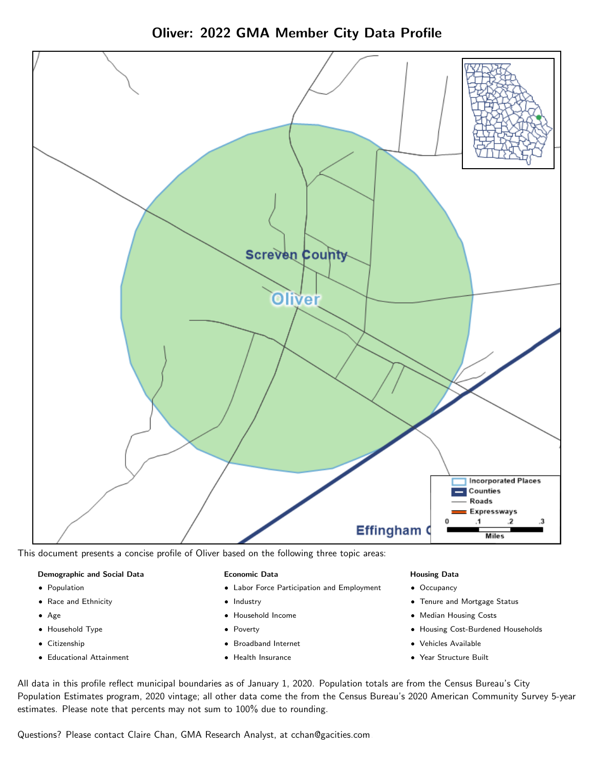



This document presents a concise profile of Oliver based on the following three topic areas:

### Demographic and Social Data

- **•** Population
- Race and Ethnicity
- Age
- Household Type
- **Citizenship**
- Educational Attainment

### Economic Data

- Labor Force Participation and Employment
- Industry
- Household Income
- Poverty
- Broadband Internet
- Health Insurance

### Housing Data

- Occupancy
- Tenure and Mortgage Status
- Median Housing Costs
- Housing Cost-Burdened Households
- Vehicles Available
- Year Structure Built

All data in this profile reflect municipal boundaries as of January 1, 2020. Population totals are from the Census Bureau's City Population Estimates program, 2020 vintage; all other data come the from the Census Bureau's 2020 American Community Survey 5-year estimates. Please note that percents may not sum to 100% due to rounding.

Questions? Please contact Claire Chan, GMA Research Analyst, at [cchan@gacities.com.](mailto:cchan@gacities.com)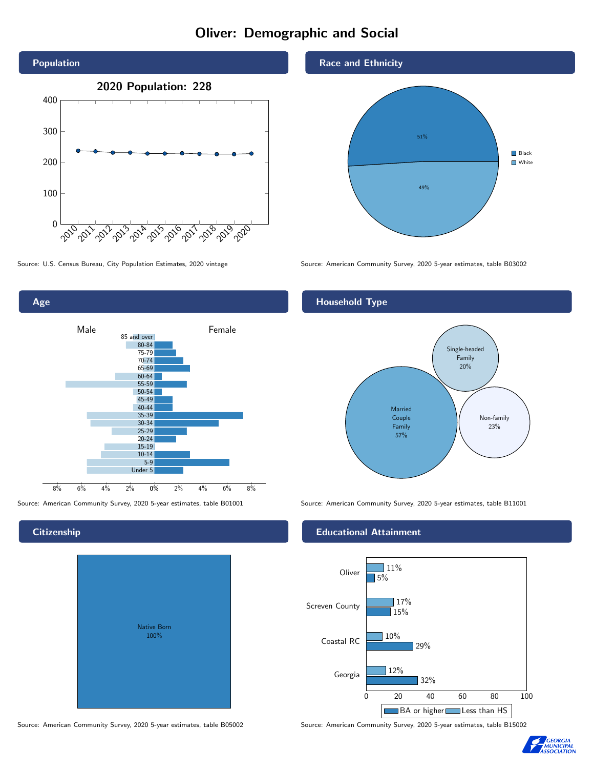# Oliver: Demographic and Social





## **Citizenship**

| Native Born<br>100% |  |
|---------------------|--|

Source: American Community Survey, 2020 5-year estimates, table B05002 Source: American Community Survey, 2020 5-year estimates, table B15002





Source: U.S. Census Bureau, City Population Estimates, 2020 vintage Source: American Community Survey, 2020 5-year estimates, table B03002

## Household Type



Source: American Community Survey, 2020 5-year estimates, table B01001 Source: American Community Survey, 2020 5-year estimates, table B11001

### Educational Attainment



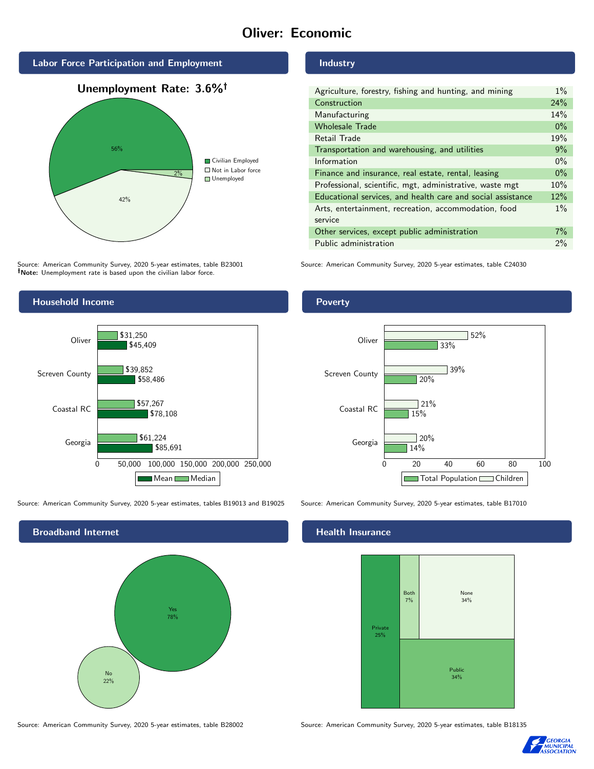# Oliver: Economic







Source: American Community Survey, 2020 5-year estimates, table B23001 Note: Unemployment rate is based upon the civilian labor force.



| Agriculture, forestry, fishing and hunting, and mining      |  |
|-------------------------------------------------------------|--|
| Construction                                                |  |
| Manufacturing                                               |  |
| <b>Wholesale Trade</b>                                      |  |
| Retail Trade                                                |  |
| Transportation and warehousing, and utilities               |  |
| Information                                                 |  |
| Finance and insurance, real estate, rental, leasing         |  |
| Professional, scientific, mgt, administrative, waste mgt    |  |
| Educational services, and health care and social assistance |  |
| Arts, entertainment, recreation, accommodation, food        |  |
| service                                                     |  |
| Other services, except public administration                |  |
| Public administration                                       |  |

Source: American Community Survey, 2020 5-year estimates, table C24030





Poverty



Source: American Community Survey, 2020 5-year estimates, tables B19013 and B19025 Source: American Community Survey, 2020 5-year estimates, table B17010

## **Health Insurance**



Source: American Community Survey, 2020 5-year estimates, table B28002 Source: American Community Survey, 2020 5-year estimates, table B18135